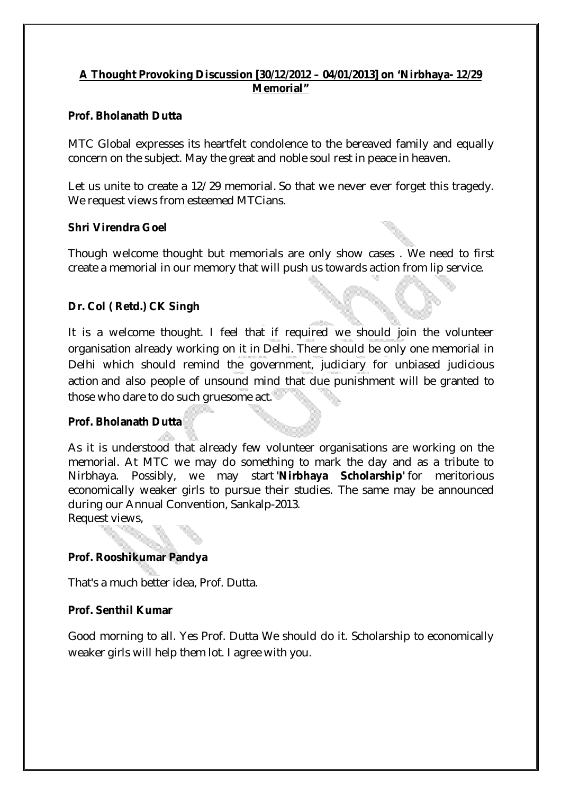# **A Thought Provoking Discussion [30/12/2012 – 04/01/2013] on 'Nirbhaya- 12/29 Memorial"**

### **Prof. Bholanath Dutta**

MTC Global expresses its heartfelt condolence to the bereaved family and equally concern on the subject. May the great and noble soul rest in peace in heaven.

Let us unite to create a 12/29 memorial. So that we never ever forget this tragedy. We request views from esteemed MTCians.

### **Shri Virendra Goel**

Though welcome thought but memorials are only show cases . We need to first create a memorial in our memory that will push us towards action from lip service.

# **Dr. Col ( Retd.) CK Singh**

It is a welcome thought. I feel that if required we should join the volunteer organisation already working on it in Delhi. There should be only one memorial in Delhi which should remind the government, judiciary for unbiased judicious action and also people of unsound mind that due punishment will be granted to those who dare to do such gruesome act.

# **Prof. Bholanath Dutta**

As it is understood that already few volunteer organisations are working on the memorial. At MTC we may do something to mark the day and as a tribute to Nirbhaya. Possibly, we may start **'Nirbhaya Scholarship'** for meritorious economically weaker girls to pursue their studies. The same may be announced during our Annual Convention, Sankalp-2013. Request views,

**Prof. Rooshikumar Pandya**

That's a much better idea, Prof. Dutta.

# **Prof. Senthil Kumar**

Good morning to all. Yes Prof. Dutta We should do it. Scholarship to economically weaker girls will help them lot. I agree with you.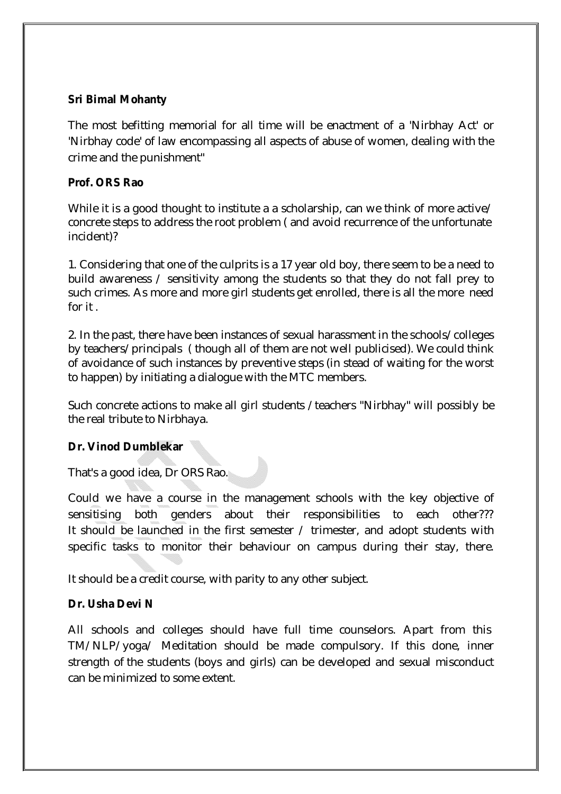### **Sri Bimal Mohanty**

The most befitting memorial for all time will be enactment of a 'Nirbhay Act' or 'Nirbhay code' of law encompassing all aspects of abuse of women, dealing with the crime and the punishment"

### **Prof. ORS Rao**

While it is a good thought to institute a a scholarship, can we think of more active/ concrete steps to address the root problem ( and avoid recurrence of the unfortunate incident)?

1. Considering that one of the culprits is a 17 year old boy, there seem to be a need to build awareness / sensitivity among the students so that they do not fall prey to such crimes. As more and more girl students get enrolled, there is all the more need for it .

2. In the past, there have been instances of sexual harassment in the schools/colleges by teachers/principals ( though all of them are not well publicised). We could think of avoidance of such instances by preventive steps (in stead of waiting for the worst to happen) by initiating a dialogue with the MTC members.

Such concrete actions to make all girl students /teachers "Nirbhay" will possibly be the real tribute to Nirbhaya.

# **Dr. Vinod Dumblekar**

That's a good idea, Dr ORS Rao.

Could we have a course in the management schools with the key objective of sensitising both genders about their responsibilities to each other??? It should be launched in the first semester / trimester, and adopt students with specific tasks to monitor their behaviour on campus during their stay, there.

It should be a credit course, with parity to any other subject.

#### **Dr. Usha Devi N**

All schools and colleges should have full time counselors. Apart from this TM/NLP/yoga/ Meditation should be made compulsory. If this done, inner strength of the students (boys and girls) can be developed and sexual misconduct can be minimized to some extent.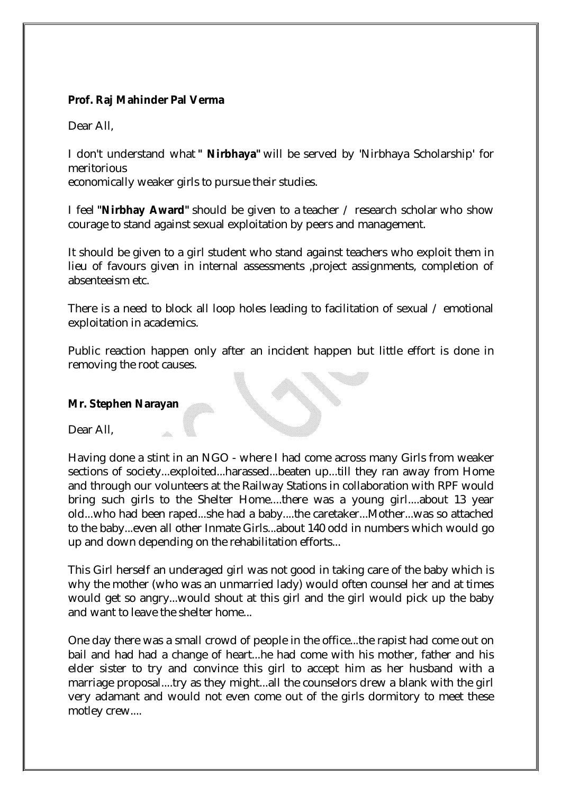### **Prof. Raj Mahinder Pal Verma**

Dear All,

I don't understand what **" Nirbhaya"** will be served by 'Nirbhaya Scholarship' for meritorious

economically weaker girls to pursue their studies.

I feel **"Nirbhay Award"** should be given to a teacher / research scholar who show courage to stand against sexual exploitation by peers and management.

It should be given to a girl student who stand against teachers who exploit them in lieu of favours given in internal assessments ,project assignments, completion of absenteeism etc.

There is a need to block all loop holes leading to facilitation of sexual / emotional exploitation in academics.

Public reaction happen only after an incident happen but little effort is done in removing the root causes.

#### **Mr. Stephen Narayan**

Dear All

Having done a stint in an NGO - where I had come across many Girls from weaker sections of society...exploited...harassed...beaten up...till they ran away from Home and through our volunteers at the Railway Stations in collaboration with RPF would bring such girls to the Shelter Home....there was a young girl....about 13 year old...who had been raped...she had a baby....the caretaker...Mother...was so attached to the baby...even all other Inmate Girls...about 140 odd in numbers which would go up and down depending on the rehabilitation efforts...

This Girl herself an underaged girl was not good in taking care of the baby which is why the mother (who was an unmarried lady) would often counsel her and at times would get so angry...would shout at this girl and the girl would pick up the baby and want to leave the shelter home...

One day there was a small crowd of people in the office...the rapist had come out on bail and had had a change of heart...he had come with his mother, father and his elder sister to try and convince this girl to accept him as her husband with a marriage proposal....try as they might...all the counselors drew a blank with the girl very adamant and would not even come out of the girls dormitory to meet these motley crew....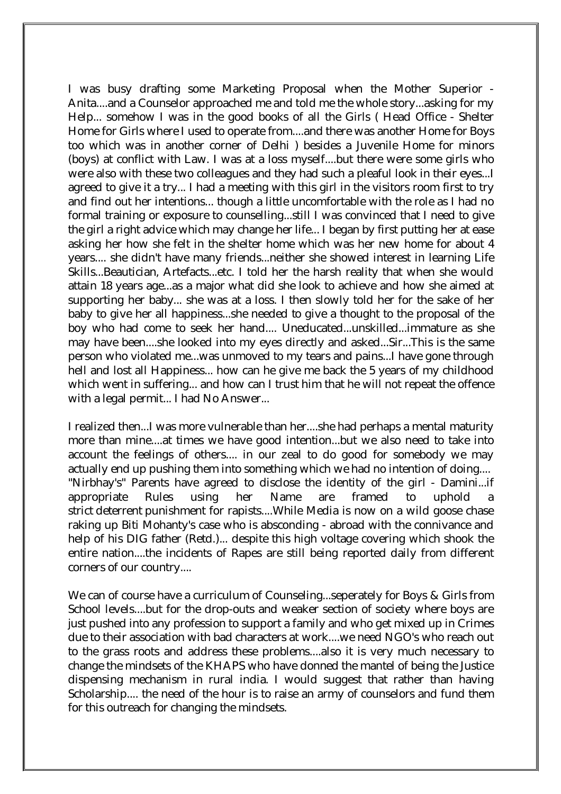I was busy drafting some Marketing Proposal when the Mother Superior - Anita....and a Counselor approached me and told me the whole story...asking for my Help... somehow I was in the good books of all the Girls ( Head Office - Shelter Home for Girls where I used to operate from....and there was another Home for Boys too which was in another corner of Delhi ) besides a Juvenile Home for minors (boys) at conflict with Law. I was at a loss myself....but there were some girls who were also with these two colleagues and they had such a pleaful look in their eyes...I agreed to give it a try... I had a meeting with this girl in the visitors room first to try and find out her intentions... though a little uncomfortable with the role as I had no formal training or exposure to counselling...still I was convinced that I need to give the girl a right advice which may change her life... I began by first putting her at ease asking her how she felt in the shelter home which was her new home for about 4 years.... she didn't have many friends...neither she showed interest in learning Life Skills...Beautician, Artefacts...etc. I told her the harsh reality that when she would attain 18 years age...as a major what did she look to achieve and how she aimed at supporting her baby... she was at a loss. I then slowly told her for the sake of her baby to give her all happiness...she needed to give a thought to the proposal of the boy who had come to seek her hand.... Uneducated...unskilled...immature as she may have been....she looked into my eyes directly and asked...Sir...This is the same person who violated me...was unmoved to my tears and pains...I have gone through hell and lost all Happiness... how can he give me back the 5 years of my childhood which went in suffering... and how can I trust him that he will not repeat the offence with a legal permit... I had No Answer...

I realized then...I was more vulnerable than her....she had perhaps a mental maturity more than mine....at times we have good intention...but we also need to take into account the feelings of others.... in our zeal to do good for somebody we may actually end up pushing them into something which we had no intention of doing.... "Nirbhay's" Parents have agreed to disclose the identity of the girl - Damini...if appropriate Rules using her Name are framed to uphold strict deterrent punishment for rapists....While Media is now on a wild goose chase raking up Biti Mohanty's case who is absconding - abroad with the connivance and help of his DIG father (Retd.)... despite this high voltage covering which shook the entire nation....the incidents of Rapes are still being reported daily from different corners of our country....

We can of course have a curriculum of Counseling...seperately for Boys & Girls from School levels....but for the drop-outs and weaker section of society where boys are just pushed into any profession to support a family and who get mixed up in Crimes due to their association with bad characters at work....we need NGO's who reach out to the grass roots and address these problems....also it is very much necessary to change the mindsets of the KHAPS who have donned the mantel of being the Justice dispensing mechanism in rural india. I would suggest that rather than having Scholarship.... the need of the hour is to raise an army of counselors and fund them for this outreach for changing the mindsets.